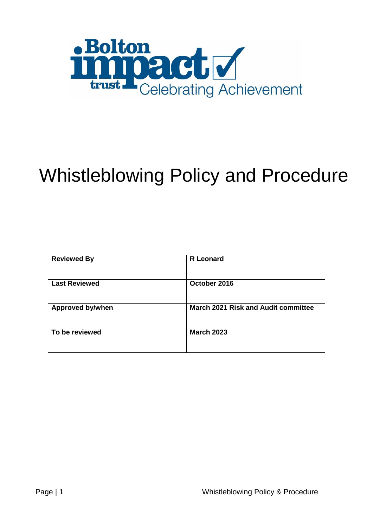

# Whistleblowing Policy and Procedure

| <b>Reviewed By</b>      | <b>R</b> Leonard                           |
|-------------------------|--------------------------------------------|
| <b>Last Reviewed</b>    | October 2016                               |
| <b>Approved by/when</b> | <b>March 2021 Risk and Audit committee</b> |
| To be reviewed          | <b>March 2023</b>                          |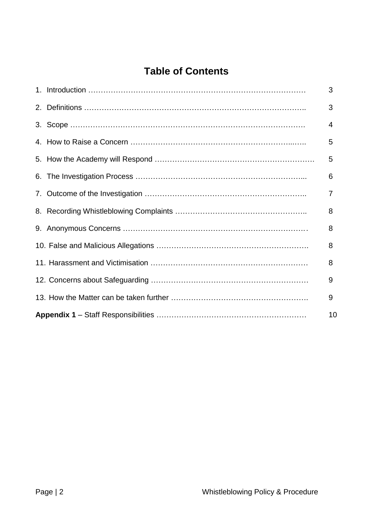# **Table of Contents**

|  | 3  |
|--|----|
|  | 3  |
|  | 4  |
|  | 5  |
|  | 5  |
|  | 6  |
|  | 7  |
|  | 8  |
|  | 8  |
|  | 8  |
|  | 8  |
|  | 9  |
|  | 9  |
|  | 10 |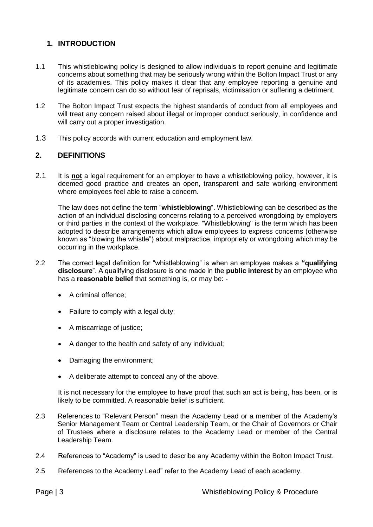# **1. INTRODUCTION**

- 1.1 This whistleblowing policy is designed to allow individuals to report genuine and legitimate concerns about something that may be seriously wrong within the Bolton Impact Trust or any of its academies. This policy makes it clear that any employee reporting a genuine and legitimate concern can do so without fear of reprisals, victimisation or suffering a detriment.
- 1.2 The Bolton Impact Trust expects the highest standards of conduct from all employees and will treat any concern raised about illegal or improper conduct seriously, in confidence and will carry out a proper investigation.
- 1.3 This policy accords with current education and employment law.

#### **2. DEFINITIONS**

2.1 It is **not** a legal requirement for an employer to have a whistleblowing policy, however, it is deemed good practice and creates an open, transparent and safe working environment where employees feel able to raise a concern.

The law does not define the term "**whistleblowing**". Whistleblowing can be described as the action of an individual disclosing concerns relating to a perceived wrongdoing by employers or third parties in the context of the workplace. "Whistleblowing" is the term which has been adopted to describe arrangements which allow employees to express concerns (otherwise known as "blowing the whistle") about malpractice, impropriety or wrongdoing which may be occurring in the workplace.

- 2.2 The correct legal definition for "whistleblowing" is when an employee makes a **"qualifying disclosure**". A qualifying disclosure is one made in the **public interest** by an employee who has a **reasonable belief** that something is, or may be: -
	- A criminal offence:
	- Failure to comply with a legal duty;
	- A miscarriage of justice:
	- A danger to the health and safety of any individual;
	- Damaging the environment;
	- A deliberate attempt to conceal any of the above.

It is not necessary for the employee to have proof that such an act is being, has been, or is likely to be committed. A reasonable belief is sufficient.

- 2.3 References to "Relevant Person" mean the Academy Lead or a member of the Academy's Senior Management Team or Central Leadership Team, or the Chair of Governors or Chair of Trustees where a disclosure relates to the Academy Lead or member of the Central Leadership Team.
- 2.4 References to "Academy" is used to describe any Academy within the Bolton Impact Trust.
- 2.5 References to the Academy Lead" refer to the Academy Lead of each academy.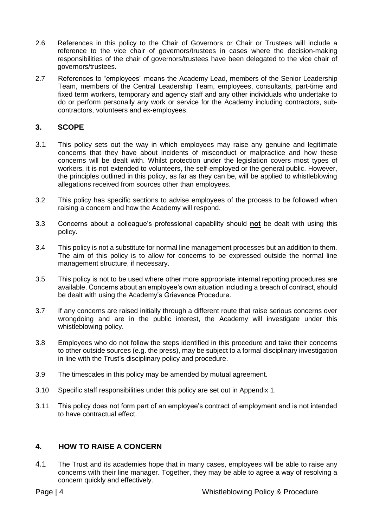- 2.6 References in this policy to the Chair of Governors or Chair or Trustees will include a reference to the vice chair of governors/trustees in cases where the decision-making responsibilities of the chair of governors/trustees have been delegated to the vice chair of governors/trustees.
- 2.7 References to "employees" means the Academy Lead, members of the Senior Leadership Team, members of the Central Leadership Team, employees, consultants, part-time and fixed term workers, temporary and agency staff and any other individuals who undertake to do or perform personally any work or service for the Academy including contractors, subcontractors, volunteers and ex-employees.

# **3. SCOPE**

- 3.1 This policy sets out the way in which employees may raise any genuine and legitimate concerns that they have about incidents of misconduct or malpractice and how these concerns will be dealt with. Whilst protection under the legislation covers most types of workers, it is not extended to volunteers, the self-employed or the general public. However, the principles outlined in this policy, as far as they can be, will be applied to whistleblowing allegations received from sources other than employees.
- 3.2 This policy has specific sections to advise employees of the process to be followed when raising a concern and how the Academy will respond.
- 3.3 Concerns about a colleague's professional capability should **not** be dealt with using this policy.
- 3.4 This policy is not a substitute for normal line management processes but an addition to them. The aim of this policy is to allow for concerns to be expressed outside the normal line management structure, if necessary.
- 3.5 This policy is not to be used where other more appropriate internal reporting procedures are available. Concerns about an employee's own situation including a breach of contract, should be dealt with using the Academy's Grievance Procedure.
- 3.7 If any concerns are raised initially through a different route that raise serious concerns over wrongdoing and are in the public interest, the Academy will investigate under this whistleblowing policy.
- 3.8 Employees who do not follow the steps identified in this procedure and take their concerns to other outside sources (e.g. the press), may be subject to a formal disciplinary investigation in line with the Trust's disciplinary policy and procedure.
- 3.9 The timescales in this policy may be amended by mutual agreement.
- 3.10 Specific staff responsibilities under this policy are set out in Appendix 1.
- 3.11 This policy does not form part of an employee's contract of employment and is not intended to have contractual effect.

# **4. HOW TO RAISE A CONCERN**

4.1 The Trust and its academies hope that in many cases, employees will be able to raise any concerns with their line manager. Together, they may be able to agree a way of resolving a concern quickly and effectively.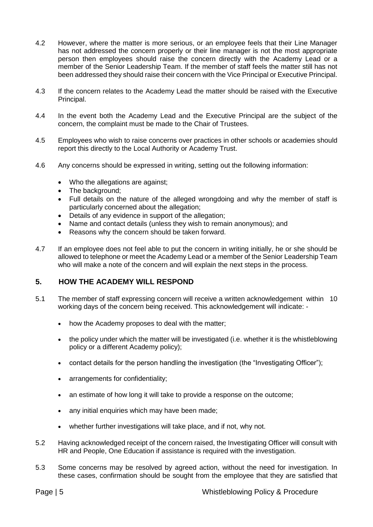- 4.2 However, where the matter is more serious, or an employee feels that their Line Manager has not addressed the concern properly or their line manager is not the most appropriate person then employees should raise the concern directly with the Academy Lead or a member of the Senior Leadership Team. If the member of staff feels the matter still has not been addressed they should raise their concern with the Vice Principal or Executive Principal.
- 4.3 If the concern relates to the Academy Lead the matter should be raised with the Executive Principal.
- 4.4 In the event both the Academy Lead and the Executive Principal are the subject of the concern, the complaint must be made to the Chair of Trustees.
- 4.5 Employees who wish to raise concerns over practices in other schools or academies should report this directly to the Local Authority or Academy Trust.
- 4.6 Any concerns should be expressed in writing, setting out the following information:
	- Who the allegations are against;
	- The background;
	- Full details on the nature of the alleged wrongdoing and why the member of staff is particularly concerned about the allegation;
	- Details of any evidence in support of the allegation;
	- Name and contact details (unless they wish to remain anonymous); and
	- Reasons why the concern should be taken forward.
- 4.7 If an employee does not feel able to put the concern in writing initially, he or she should be allowed to telephone or meet the Academy Lead or a member of the Senior Leadership Team who will make a note of the concern and will explain the next steps in the process.

#### **5. HOW THE ACADEMY WILL RESPOND**

- 5.1 The member of staff expressing concern will receive a written acknowledgement within 10 working days of the concern being received. This acknowledgement will indicate:
	- how the Academy proposes to deal with the matter;
	- the policy under which the matter will be investigated (i.e. whether it is the whistleblowing policy or a different Academy policy);
	- contact details for the person handling the investigation (the "Investigating Officer");
	- arrangements for confidentiality;
	- an estimate of how long it will take to provide a response on the outcome;
	- any initial enquiries which may have been made;
	- whether further investigations will take place, and if not, why not.
- 5.2 Having acknowledged receipt of the concern raised, the Investigating Officer will consult with HR and People, One Education if assistance is required with the investigation.
- 5.3 Some concerns may be resolved by agreed action, without the need for investigation. In these cases, confirmation should be sought from the employee that they are satisfied that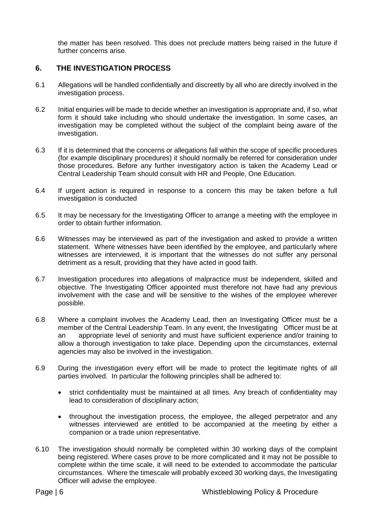the matter has been resolved. This does not preclude matters being raised in the future if further concerns arise.

#### **6. THE INVESTIGATION PROCESS**

- 6.1 Allegations will be handled confidentially and discreetly by all who are directly involved in the investigation process.
- 6.2 Initial enquiries will be made to decide whether an investigation is appropriate and, if so, what form it should take including who should undertake the investigation. In some cases, an investigation may be completed without the subject of the complaint being aware of the investigation.
- 6.3 If it is determined that the concerns or allegations fall within the scope of specific procedures (for example disciplinary procedures) it should normally be referred for consideration under those procedures. Before any further investigatory action is taken the Academy Lead or Central Leadership Team should consult with HR and People, One Education.
- 6.4 If urgent action is required in response to a concern this may be taken before a full investigation is conducted
- 6.5 It may be necessary for the Investigating Officer to arrange a meeting with the employee in order to obtain further information.
- 6.6 Witnesses may be interviewed as part of the investigation and asked to provide a written statement. Where witnesses have been identified by the employee, and particularly where witnesses are interviewed, it is important that the witnesses do not suffer any personal detriment as a result, providing that they have acted in good faith.
- 6.7 Investigation procedures into allegations of malpractice must be independent, skilled and objective. The Investigating Officer appointed must therefore not have had any previous involvement with the case and will be sensitive to the wishes of the employee wherever possible.
- 6.8 Where a complaint involves the Academy Lead, then an Investigating Officer must be a member of the Central Leadership Team. In any event, the Investigating Officer must be at an appropriate level of seniority and must have sufficient experience and/or training to allow a thorough investigation to take place. Depending upon the circumstances, external agencies may also be involved in the investigation.
- 6.9 During the investigation every effort will be made to protect the legitimate rights of all parties involved. In particular the following principles shall be adhered to:
	- strict confidentiality must be maintained at all times. Any breach of confidentiality may lead to consideration of disciplinary action;
	- throughout the investigation process, the employee, the alleged perpetrator and any witnesses interviewed are entitled to be accompanied at the meeting by either a companion or a trade union representative.
- 6.10 The investigation should normally be completed within 30 working days of the complaint being registered. Where cases prove to be more complicated and it may not be possible to complete within the time scale, it will need to be extended to accommodate the particular circumstances. Where the timescale will probably exceed 30 working days, the Investigating Officer will advise the employee.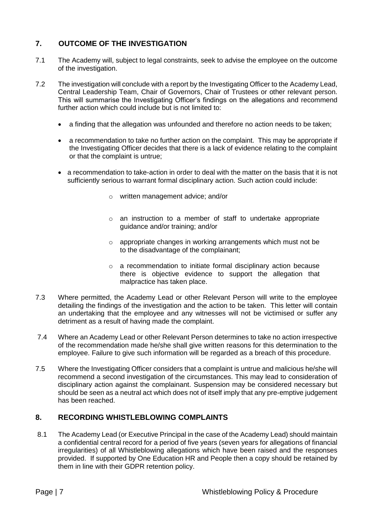# **7. OUTCOME OF THE INVESTIGATION**

- 7.1 The Academy will, subject to legal constraints, seek to advise the employee on the outcome of the investigation.
- 7.2 The investigation will conclude with a report by the Investigating Officer to the Academy Lead, Central Leadership Team, Chair of Governors, Chair of Trustees or other relevant person. This will summarise the Investigating Officer's findings on the allegations and recommend further action which could include but is not limited to:
	- a finding that the allegation was unfounded and therefore no action needs to be taken;
	- a recommendation to take no further action on the complaint. This may be appropriate if the Investigating Officer decides that there is a lack of evidence relating to the complaint or that the complaint is untrue;
	- a recommendation to take-action in order to deal with the matter on the basis that it is not sufficiently serious to warrant formal disciplinary action. Such action could include:
		- o written management advice; and/or
		- o an instruction to a member of staff to undertake appropriate guidance and/or training; and/or
		- o appropriate changes in working arrangements which must not be to the disadvantage of the complainant;
		- o a recommendation to initiate formal disciplinary action because there is objective evidence to support the allegation that malpractice has taken place.
- 7.3 Where permitted, the Academy Lead or other Relevant Person will write to the employee detailing the findings of the investigation and the action to be taken. This letter will contain an undertaking that the employee and any witnesses will not be victimised or suffer any detriment as a result of having made the complaint.
- 7.4 Where an Academy Lead or other Relevant Person determines to take no action irrespective of the recommendation made he/she shall give written reasons for this determination to the employee. Failure to give such information will be regarded as a breach of this procedure.
- 7.5 Where the Investigating Officer considers that a complaint is untrue and malicious he/she will recommend a second investigation of the circumstances. This may lead to consideration of disciplinary action against the complainant. Suspension may be considered necessary but should be seen as a neutral act which does not of itself imply that any pre-emptive judgement has been reached.

# **8. RECORDING WHISTLEBLOWING COMPLAINTS**

8.1 The Academy Lead (or Executive Principal in the case of the Academy Lead) should maintain a confidential central record for a period of five years (seven years for allegations of financial irregularities) of all Whistleblowing allegations which have been raised and the responses provided. If supported by One Education HR and People then a copy should be retained by them in line with their GDPR retention policy.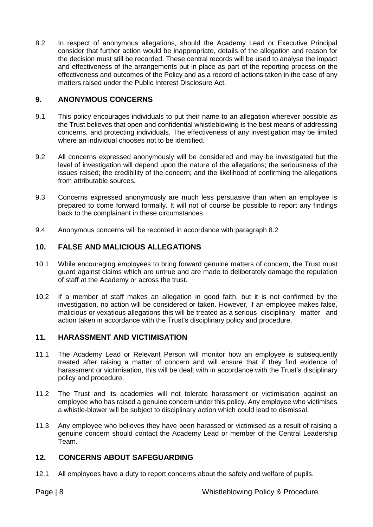8.2 In respect of anonymous allegations, should the Academy Lead or Executive Principal consider that further action would be inappropriate, details of the allegation and reason for the decision must still be recorded. These central records will be used to analyse the impact and effectiveness of the arrangements put in place as part of the reporting process on the effectiveness and outcomes of the Policy and as a record of actions taken in the case of any matters raised under the Public Interest Disclosure Act.

#### **9. ANONYMOUS CONCERNS**

- 9.1 This policy encourages individuals to put their name to an allegation wherever possible as the Trust believes that open and confidential whistleblowing is the best means of addressing concerns, and protecting individuals. The effectiveness of any investigation may be limited where an individual chooses not to be identified.
- 9.2 All concerns expressed anonymously will be considered and may be investigated but the level of investigation will depend upon the nature of the allegations; the seriousness of the issues raised; the credibility of the concern; and the likelihood of confirming the allegations from attributable sources.
- 9.3 Concerns expressed anonymously are much less persuasive than when an employee is prepared to come forward formally. It will not of course be possible to report any findings back to the complainant in these circumstances.
- 9.4 Anonymous concerns will be recorded in accordance with paragraph 8.2

# **10. FALSE AND MALICIOUS ALLEGATIONS**

- 10.1 While encouraging employees to bring forward genuine matters of concern, the Trust must guard against claims which are untrue and are made to deliberately damage the reputation of staff at the Academy or across the trust.
- 10.2 If a member of staff makes an allegation in good faith, but it is not confirmed by the investigation, no action will be considered or taken. However, if an employee makes false, malicious or vexatious allegations this will be treated as a serious disciplinary matter and action taken in accordance with the Trust's disciplinary policy and procedure.

# **11. HARASSMENT AND VICTIMISATION**

- 11.1 The Academy Lead or Relevant Person will monitor how an employee is subsequently treated after raising a matter of concern and will ensure that if they find evidence of harassment or victimisation, this will be dealt with in accordance with the Trust's disciplinary policy and procedure.
- 11.2 The Trust and its academies will not tolerate harassment or victimisation against an employee who has raised a genuine concern under this policy. Any employee who victimises a whistle-blower will be subject to disciplinary action which could lead to dismissal.
- 11.3 Any employee who believes they have been harassed or victimised as a result of raising a genuine concern should contact the Academy Lead or member of the Central Leadership Team.

# **12. CONCERNS ABOUT SAFEGUARDING**

12.1 All employees have a duty to report concerns about the safety and welfare of pupils.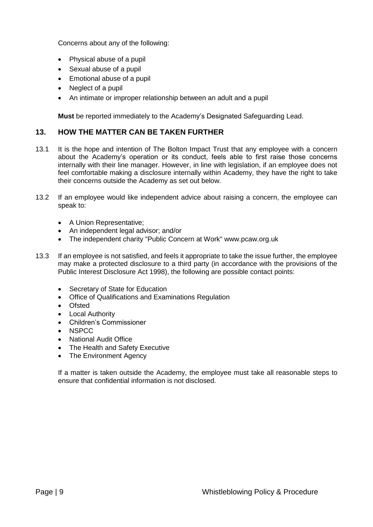Concerns about any of the following:

- Physical abuse of a pupil
- Sexual abuse of a pupil
- Emotional abuse of a pupil
- Neglect of a pupil
- An intimate or improper relationship between an adult and a pupil

**Must** be reported immediately to the Academy's Designated Safeguarding Lead.

#### **13. HOW THE MATTER CAN BE TAKEN FURTHER**

- 13.1 It is the hope and intention of The Bolton Impact Trust that any employee with a concern about the Academy's operation or its conduct, feels able to first raise those concerns internally with their line manager. However, in line with legislation, if an employee does not feel comfortable making a disclosure internally within Academy, they have the right to take their concerns outside the Academy as set out below.
- 13.2 If an employee would like independent advice about raising a concern, the employee can speak to:
	- A Union Representative:
	- An independent legal advisor; and/or
	- The independent charity "Public Concern at Work" www.pcaw.org.uk
- 13.3 If an employee is not satisfied, and feels it appropriate to take the issue further, the employee may make a protected disclosure to a third party (in accordance with the provisions of the Public Interest Disclosure Act 1998), the following are possible contact points:
	- Secretary of State for Education
	- Office of Qualifications and Examinations Regulation
	- **Ofsted**
	- Local Authority
	- Children's Commissioner
	- **NSPCC**
	- National Audit Office
	- The Health and Safety Executive
	- The Environment Agency

If a matter is taken outside the Academy, the employee must take all reasonable steps to ensure that confidential information is not disclosed.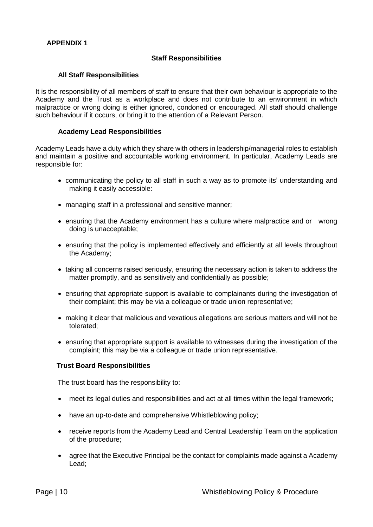#### **Staff Responsibilities**

#### **All Staff Responsibilities**

It is the responsibility of all members of staff to ensure that their own behaviour is appropriate to the Academy and the Trust as a workplace and does not contribute to an environment in which malpractice or wrong doing is either ignored, condoned or encouraged. All staff should challenge such behaviour if it occurs, or bring it to the attention of a Relevant Person.

#### **Academy Lead Responsibilities**

Academy Leads have a duty which they share with others in leadership/managerial roles to establish and maintain a positive and accountable working environment. In particular, Academy Leads are responsible for:

- communicating the policy to all staff in such a way as to promote its' understanding and making it easily accessible:
- managing staff in a professional and sensitive manner;
- ensuring that the Academy environment has a culture where malpractice and or wrong doing is unacceptable;
- ensuring that the policy is implemented effectively and efficiently at all levels throughout the Academy;
- taking all concerns raised seriously, ensuring the necessary action is taken to address the matter promptly, and as sensitively and confidentially as possible;
- ensuring that appropriate support is available to complainants during the investigation of their complaint; this may be via a colleague or trade union representative;
- making it clear that malicious and vexatious allegations are serious matters and will not be tolerated;
- ensuring that appropriate support is available to witnesses during the investigation of the complaint; this may be via a colleague or trade union representative.

#### **Trust Board Responsibilities**

The trust board has the responsibility to:

- meet its legal duties and responsibilities and act at all times within the legal framework;
- have an up-to-date and comprehensive Whistleblowing policy;
- receive reports from the Academy Lead and Central Leadership Team on the application of the procedure;
- agree that the Executive Principal be the contact for complaints made against a Academy Lead;